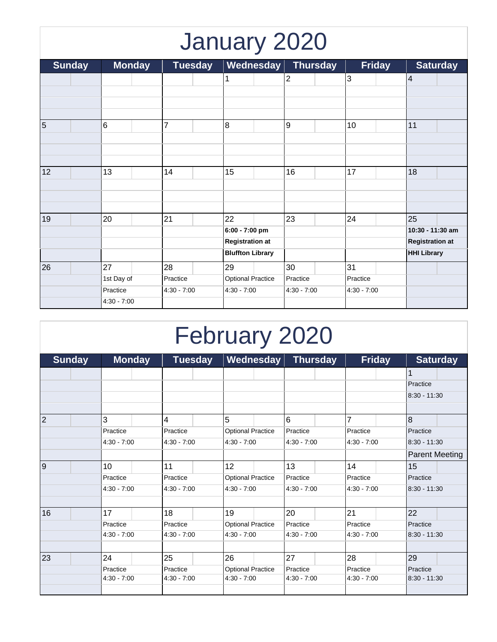## January 2020

| <b>Sunday</b>  | <b>Monday</b><br><b>Tuesday</b> |                | Wednesday                | <b>Thursday</b> | <b>Friday</b> | <b>Saturday</b>        |  |
|----------------|---------------------------------|----------------|--------------------------|-----------------|---------------|------------------------|--|
|                |                                 |                |                          | 2               | $\mathbf{3}$  | $\overline{4}$         |  |
|                |                                 |                |                          |                 |               |                        |  |
|                |                                 |                |                          |                 |               |                        |  |
| $\overline{5}$ | 6                               | $\overline{7}$ | 8                        | $\overline{9}$  |               | 11                     |  |
|                |                                 |                |                          |                 | 10            |                        |  |
|                |                                 |                |                          |                 |               |                        |  |
|                |                                 |                |                          |                 |               |                        |  |
| 12             | 13                              | 14             | 15                       | 16              | 17            | 18                     |  |
|                |                                 |                |                          |                 |               |                        |  |
|                |                                 |                |                          |                 |               |                        |  |
|                |                                 |                |                          |                 |               |                        |  |
| 19             | 20                              | 21             | 22                       | 23              | 24            | 25                     |  |
|                |                                 |                | 6:00 - 7:00 pm           |                 |               | 10:30 - 11:30 am       |  |
|                |                                 |                | <b>Registration at</b>   |                 |               | <b>Registration at</b> |  |
|                |                                 |                | <b>Bluffton Library</b>  |                 |               | <b>HHI Library</b>     |  |
| 26             | 27                              | 28             | 29                       | 30              | 31            |                        |  |
|                | 1st Day of                      | Practice       | <b>Optional Practice</b> | Practice        | Practice      |                        |  |
|                | Practice                        | $4:30 - 7:00$  | $4:30 - 7:00$            | $4:30 - 7:00$   | $4:30 - 7:00$ |                        |  |
|                | $4:30 - 7:00$                   |                |                          |                 |               |                        |  |

## February 2020

| <b>Sunday</b>  | <b>Monday</b> | <b>Tuesday</b> | Wednesday                | <b>Thursday</b> | <b>Friday</b> | <b>Saturday</b>       |  |
|----------------|---------------|----------------|--------------------------|-----------------|---------------|-----------------------|--|
|                |               |                |                          |                 |               | 1                     |  |
|                |               |                |                          |                 |               | Practice              |  |
|                |               |                |                          |                 |               | $8:30 - 11:30$        |  |
|                |               |                |                          |                 |               |                       |  |
| $\overline{2}$ | 3             | 4              | 5                        | 6               | 7             | $\overline{8}$        |  |
|                | Practice      | Practice       | <b>Optional Practice</b> | Practice        | Practice      | Practice              |  |
|                | $4:30 - 7:00$ | $4:30 - 7:00$  | $4:30 - 7:00$            | $4:30 - 7:00$   | $4:30 - 7:00$ | $8:30 - 11:30$        |  |
|                |               |                |                          |                 |               | <b>Parent Meeting</b> |  |
| 9              | 10            | 11             | 12                       | 13              | 14            | 15                    |  |
|                | Practice      | Practice       | <b>Optional Practice</b> | Practice        | Practice      | Practice              |  |
|                | $4:30 - 7:00$ | $4:30 - 7:00$  | $4:30 - 7:00$            | $4:30 - 7:00$   | $4:30 - 7:00$ | $8:30 - 11:30$        |  |
|                |               |                |                          |                 |               |                       |  |
| 16             | 17            | 18             | 19                       | 20              | 21            | 22                    |  |
|                | Practice      | Practice       | <b>Optional Practice</b> | Practice        | Practice      | Practice              |  |
|                | $4:30 - 7:00$ | $4:30 - 7:00$  | $4:30 - 7:00$            | $4:30 - 7:00$   | $4:30 - 7:00$ | $8:30 - 11:30$        |  |
|                |               |                |                          |                 |               |                       |  |
| 23             | 24            | 25             | 26                       | 27              | 28            | 29                    |  |
|                | Practice      | Practice       | <b>Optional Practice</b> | Practice        | Practice      | Practice              |  |
|                | $4:30 - 7:00$ | $4:30 - 7:00$  | $4:30 - 7:00$            | $4:30 - 7:00$   | $4:30 - 7:00$ | $8:30 - 11:30$        |  |
|                |               |                |                          |                 |               |                       |  |